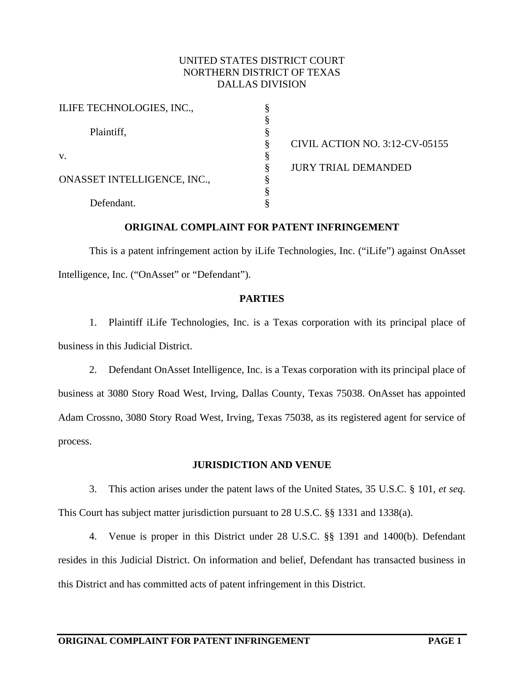### UNITED STATES DISTRICT COURT NORTHERN DISTRICT OF TEXAS DALLAS DIVISION

| ILIFE TECHNOLOGIES, INC.,   |                                |
|-----------------------------|--------------------------------|
|                             |                                |
| Plaintiff,                  |                                |
|                             | CIVIL ACTION NO. 3:12-CV-05155 |
| V.                          |                                |
|                             | <b>JURY TRIAL DEMANDED</b>     |
| ONASSET INTELLIGENCE, INC., |                                |
|                             |                                |
| Defendant.                  |                                |

#### **ORIGINAL COMPLAINT FOR PATENT INFRINGEMENT**

This is a patent infringement action by iLife Technologies, Inc. ("iLife") against OnAsset Intelligence, Inc. ("OnAsset" or "Defendant").

#### **PARTIES**

1. Plaintiff iLife Technologies, Inc. is a Texas corporation with its principal place of business in this Judicial District.

2. Defendant OnAsset Intelligence, Inc. is a Texas corporation with its principal place of business at 3080 Story Road West, Irving, Dallas County, Texas 75038. OnAsset has appointed Adam Crossno, 3080 Story Road West, Irving, Texas 75038, as its registered agent for service of process.

#### **JURISDICTION AND VENUE**

3. This action arises under the patent laws of the United States, 35 U.S.C. § 101, *et seq.* This Court has subject matter jurisdiction pursuant to 28 U.S.C. §§ 1331 and 1338(a).

4. Venue is proper in this District under 28 U.S.C. §§ 1391 and 1400(b). Defendant resides in this Judicial District. On information and belief, Defendant has transacted business in this District and has committed acts of patent infringement in this District.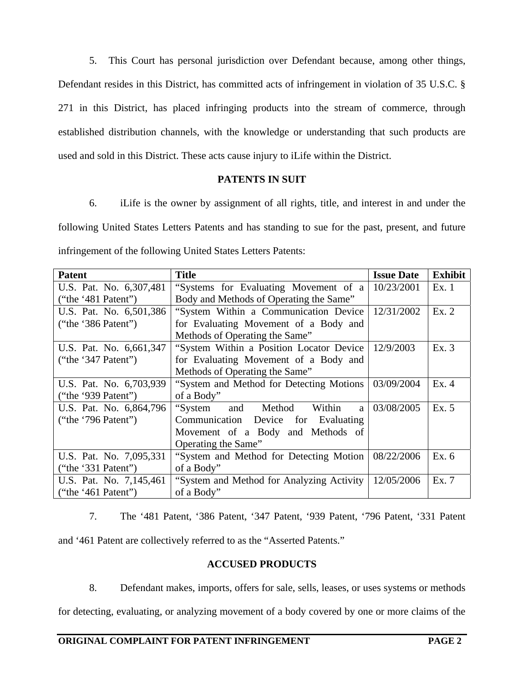5. This Court has personal jurisdiction over Defendant because, among other things, Defendant resides in this District, has committed acts of infringement in violation of 35 U.S.C. § 271 in this District, has placed infringing products into the stream of commerce, through established distribution channels, with the knowledge or understanding that such products are used and sold in this District. These acts cause injury to iLife within the District.

## **PATENTS IN SUIT**

6. iLife is the owner by assignment of all rights, title, and interest in and under the following United States Letters Patents and has standing to sue for the past, present, and future infringement of the following United States Letters Patents:

| <b>Patent</b>           | <b>Title</b>                                     | <b>Issue Date</b> | <b>Exhibit</b> |
|-------------------------|--------------------------------------------------|-------------------|----------------|
| U.S. Pat. No. 6,307,481 | "Systems for Evaluating Movement of a            | 10/23/2001        | Ex.1           |
| ("the '481 Patent")     | Body and Methods of Operating the Same"          |                   |                |
| U.S. Pat. No. 6,501,386 | "System Within a Communication Device            | 12/31/2002        | Ex.2           |
| ("the '386 Patent")     | for Evaluating Movement of a Body and            |                   |                |
|                         | Methods of Operating the Same"                   |                   |                |
| U.S. Pat. No. 6,661,347 | "System Within a Position Locator Device"        | 12/9/2003         | Ex.3           |
| ("the '347 Patent")     | for Evaluating Movement of a Body and            |                   |                |
|                         | Methods of Operating the Same"                   |                   |                |
| U.S. Pat. No. 6,703,939 | "System and Method for Detecting Motions"        | 03/09/2004        | Ex. 4          |
| ("the '939 Patent")     | of a Body"                                       |                   |                |
| U.S. Pat. No. 6,864,796 | and Method<br>Within<br>"System"<br><sub>a</sub> | 03/08/2005        | Ex. 5          |
| ("the '796 Patent")     | Communication Device for<br>Evaluating           |                   |                |
|                         | Movement of a Body and Methods of                |                   |                |
|                         | Operating the Same"                              |                   |                |
| U.S. Pat. No. 7,095,331 | "System and Method for Detecting Motion"         | 08/22/2006        | Ex. 6          |
| ("the '331 Patent")     | of a Body"                                       |                   |                |
| U.S. Pat. No. 7,145,461 | "System and Method for Analyzing Activity"       | 12/05/2006        | Ex. 7          |
| ("the '461 Patent")     | of a Body"                                       |                   |                |

7. The '481 Patent, '386 Patent, '347 Patent, '939 Patent, '796 Patent, '331 Patent

and '461 Patent are collectively referred to as the "Asserted Patents."

# **ACCUSED PRODUCTS**

8. Defendant makes, imports, offers for sale, sells, leases, or uses systems or methods

for detecting, evaluating, or analyzing movement of a body covered by one or more claims of the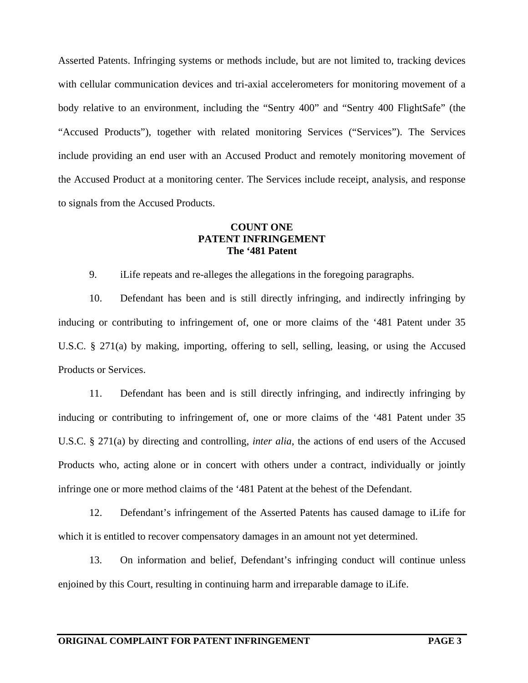Asserted Patents. Infringing systems or methods include, but are not limited to, tracking devices with cellular communication devices and tri-axial accelerometers for monitoring movement of a body relative to an environment, including the "Sentry 400" and "Sentry 400 FlightSafe" (the "Accused Products"), together with related monitoring Services ("Services"). The Services include providing an end user with an Accused Product and remotely monitoring movement of the Accused Product at a monitoring center. The Services include receipt, analysis, and response to signals from the Accused Products.

### **COUNT ONE PATENT INFRINGEMENT The '481 Patent**

9. iLife repeats and re-alleges the allegations in the foregoing paragraphs.

10. Defendant has been and is still directly infringing, and indirectly infringing by inducing or contributing to infringement of, one or more claims of the '481 Patent under 35 U.S.C. § 271(a) by making, importing, offering to sell, selling, leasing, or using the Accused Products or Services.

11. Defendant has been and is still directly infringing, and indirectly infringing by inducing or contributing to infringement of, one or more claims of the '481 Patent under 35 U.S.C. § 271(a) by directing and controlling, *inter alia*, the actions of end users of the Accused Products who, acting alone or in concert with others under a contract, individually or jointly infringe one or more method claims of the '481 Patent at the behest of the Defendant.

12. Defendant's infringement of the Asserted Patents has caused damage to iLife for which it is entitled to recover compensatory damages in an amount not yet determined.

13. On information and belief, Defendant's infringing conduct will continue unless enjoined by this Court, resulting in continuing harm and irreparable damage to iLife.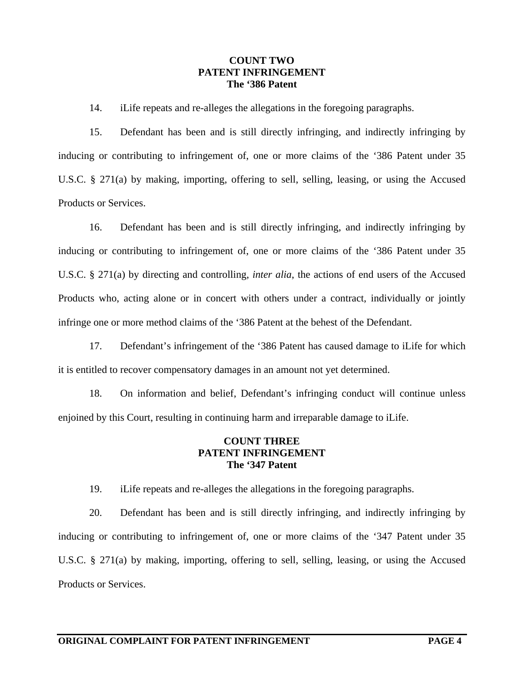#### **COUNT TWO PATENT INFRINGEMENT The '386 Patent**

14. iLife repeats and re-alleges the allegations in the foregoing paragraphs.

15. Defendant has been and is still directly infringing, and indirectly infringing by inducing or contributing to infringement of, one or more claims of the '386 Patent under 35 U.S.C. § 271(a) by making, importing, offering to sell, selling, leasing, or using the Accused Products or Services.

16. Defendant has been and is still directly infringing, and indirectly infringing by inducing or contributing to infringement of, one or more claims of the '386 Patent under 35 U.S.C. § 271(a) by directing and controlling, *inter alia*, the actions of end users of the Accused Products who, acting alone or in concert with others under a contract, individually or jointly infringe one or more method claims of the '386 Patent at the behest of the Defendant.

17. Defendant's infringement of the '386 Patent has caused damage to iLife for which it is entitled to recover compensatory damages in an amount not yet determined.

18. On information and belief, Defendant's infringing conduct will continue unless enjoined by this Court, resulting in continuing harm and irreparable damage to iLife.

#### **COUNT THREE PATENT INFRINGEMENT The '347 Patent**

19. iLife repeats and re-alleges the allegations in the foregoing paragraphs.

20. Defendant has been and is still directly infringing, and indirectly infringing by inducing or contributing to infringement of, one or more claims of the '347 Patent under 35 U.S.C. § 271(a) by making, importing, offering to sell, selling, leasing, or using the Accused Products or Services.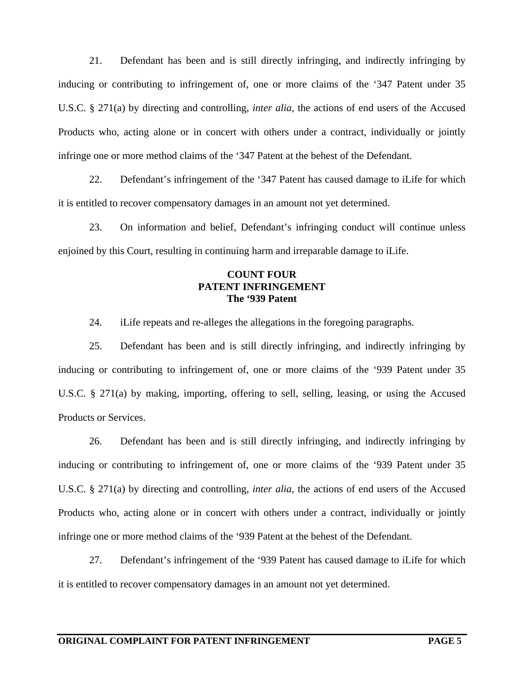21. Defendant has been and is still directly infringing, and indirectly infringing by inducing or contributing to infringement of, one or more claims of the '347 Patent under 35 U.S.C. § 271(a) by directing and controlling, *inter alia*, the actions of end users of the Accused Products who, acting alone or in concert with others under a contract, individually or jointly infringe one or more method claims of the '347 Patent at the behest of the Defendant.

22. Defendant's infringement of the '347 Patent has caused damage to iLife for which it is entitled to recover compensatory damages in an amount not yet determined.

23. On information and belief, Defendant's infringing conduct will continue unless enjoined by this Court, resulting in continuing harm and irreparable damage to iLife.

## **COUNT FOUR PATENT INFRINGEMENT The '939 Patent**

24. iLife repeats and re-alleges the allegations in the foregoing paragraphs.

25. Defendant has been and is still directly infringing, and indirectly infringing by inducing or contributing to infringement of, one or more claims of the '939 Patent under 35 U.S.C. § 271(a) by making, importing, offering to sell, selling, leasing, or using the Accused Products or Services.

26. Defendant has been and is still directly infringing, and indirectly infringing by inducing or contributing to infringement of, one or more claims of the '939 Patent under 35 U.S.C. § 271(a) by directing and controlling, *inter alia*, the actions of end users of the Accused Products who, acting alone or in concert with others under a contract, individually or jointly infringe one or more method claims of the '939 Patent at the behest of the Defendant.

27. Defendant's infringement of the '939 Patent has caused damage to iLife for which it is entitled to recover compensatory damages in an amount not yet determined.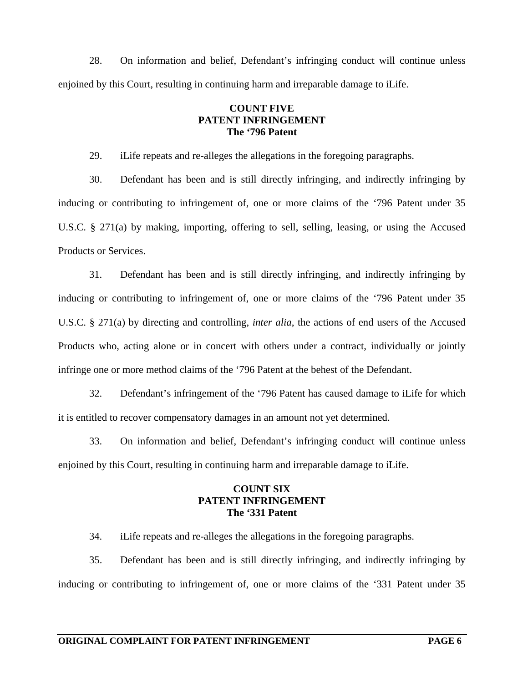28. On information and belief, Defendant's infringing conduct will continue unless enjoined by this Court, resulting in continuing harm and irreparable damage to iLife.

### **COUNT FIVE PATENT INFRINGEMENT The '796 Patent**

29. iLife repeats and re-alleges the allegations in the foregoing paragraphs.

30. Defendant has been and is still directly infringing, and indirectly infringing by inducing or contributing to infringement of, one or more claims of the '796 Patent under 35 U.S.C. § 271(a) by making, importing, offering to sell, selling, leasing, or using the Accused Products or Services.

31. Defendant has been and is still directly infringing, and indirectly infringing by inducing or contributing to infringement of, one or more claims of the '796 Patent under 35 U.S.C. § 271(a) by directing and controlling, *inter alia*, the actions of end users of the Accused Products who, acting alone or in concert with others under a contract, individually or jointly infringe one or more method claims of the '796 Patent at the behest of the Defendant.

32. Defendant's infringement of the '796 Patent has caused damage to iLife for which it is entitled to recover compensatory damages in an amount not yet determined.

33. On information and belief, Defendant's infringing conduct will continue unless enjoined by this Court, resulting in continuing harm and irreparable damage to iLife.

# **COUNT SIX PATENT INFRINGEMENT The '331 Patent**

34. iLife repeats and re-alleges the allegations in the foregoing paragraphs.

35. Defendant has been and is still directly infringing, and indirectly infringing by inducing or contributing to infringement of, one or more claims of the '331 Patent under 35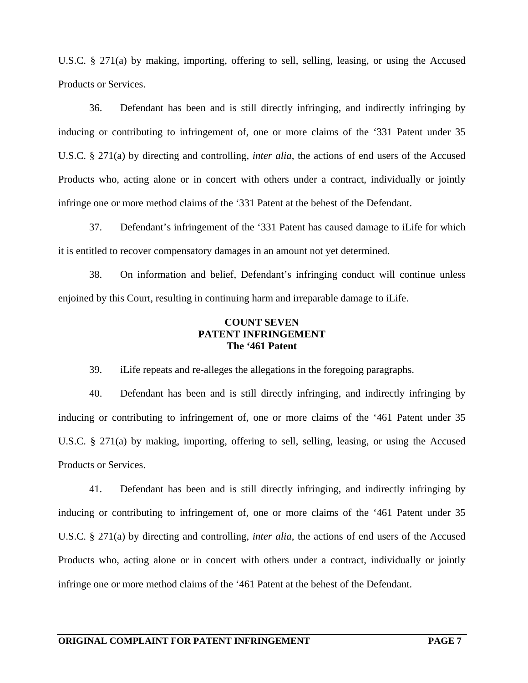U.S.C. § 271(a) by making, importing, offering to sell, selling, leasing, or using the Accused Products or Services.

36. Defendant has been and is still directly infringing, and indirectly infringing by inducing or contributing to infringement of, one or more claims of the '331 Patent under 35 U.S.C. § 271(a) by directing and controlling, *inter alia*, the actions of end users of the Accused Products who, acting alone or in concert with others under a contract, individually or jointly infringe one or more method claims of the '331 Patent at the behest of the Defendant.

37. Defendant's infringement of the '331 Patent has caused damage to iLife for which it is entitled to recover compensatory damages in an amount not yet determined.

38. On information and belief, Defendant's infringing conduct will continue unless enjoined by this Court, resulting in continuing harm and irreparable damage to iLife.

# **COUNT SEVEN PATENT INFRINGEMENT The '461 Patent**

39. iLife repeats and re-alleges the allegations in the foregoing paragraphs.

40. Defendant has been and is still directly infringing, and indirectly infringing by inducing or contributing to infringement of, one or more claims of the '461 Patent under 35 U.S.C. § 271(a) by making, importing, offering to sell, selling, leasing, or using the Accused Products or Services.

41. Defendant has been and is still directly infringing, and indirectly infringing by inducing or contributing to infringement of, one or more claims of the '461 Patent under 35 U.S.C. § 271(a) by directing and controlling, *inter alia*, the actions of end users of the Accused Products who, acting alone or in concert with others under a contract, individually or jointly infringe one or more method claims of the '461 Patent at the behest of the Defendant.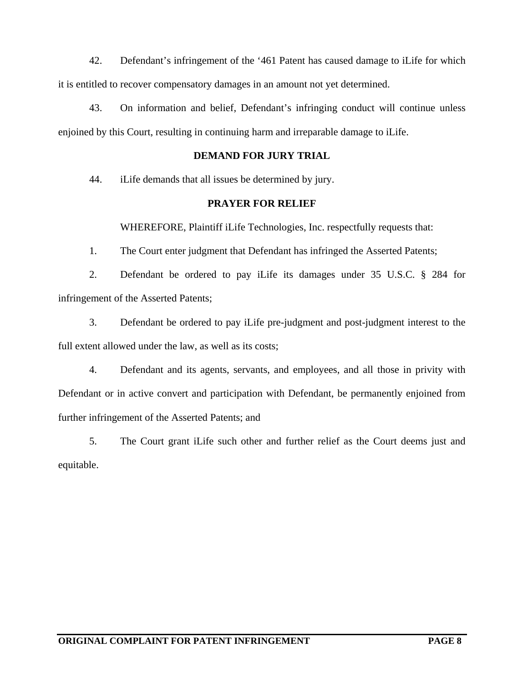42. Defendant's infringement of the '461 Patent has caused damage to iLife for which it is entitled to recover compensatory damages in an amount not yet determined.

43. On information and belief, Defendant's infringing conduct will continue unless enjoined by this Court, resulting in continuing harm and irreparable damage to iLife.

## **DEMAND FOR JURY TRIAL**

44. iLife demands that all issues be determined by jury.

### **PRAYER FOR RELIEF**

WHEREFORE, Plaintiff iLife Technologies, Inc. respectfully requests that:

1. The Court enter judgment that Defendant has infringed the Asserted Patents;

2. Defendant be ordered to pay iLife its damages under 35 U.S.C. § 284 for infringement of the Asserted Patents;

3. Defendant be ordered to pay iLife pre-judgment and post-judgment interest to the full extent allowed under the law, as well as its costs;

4. Defendant and its agents, servants, and employees, and all those in privity with Defendant or in active convert and participation with Defendant, be permanently enjoined from further infringement of the Asserted Patents; and

5. The Court grant iLife such other and further relief as the Court deems just and equitable.